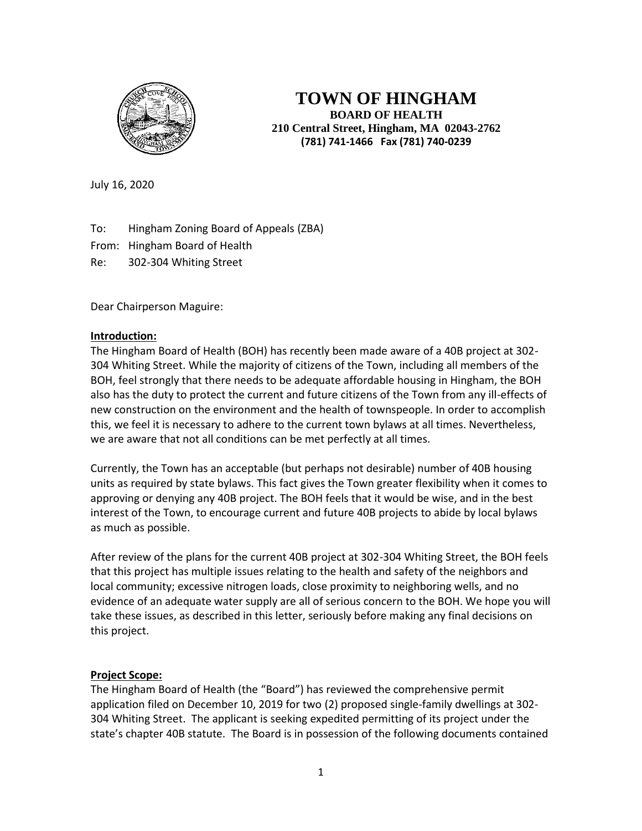

**TOWN OF HINGHAM BOARD OF HEALTH 210 Central Street, Hingham, MA 02043-2762 (781) 741-1466 Fax (781) 740-0239**

July 16, 2020

To: Hingham Zoning Board of Appeals (ZBA)

From: Hingham Board of Health

Re: 302-304 Whiting Street

Dear Chairperson Maguire:

# **Introduction:**

The Hingham Board of Health (BOH) has recently been made aware of a 40B project at 302- 304 Whiting Street. While the majority of citizens of the Town, including all members of the BOH, feel strongly that there needs to be adequate affordable housing in Hingham, the BOH also has the duty to protect the current and future citizens of the Town from any ill-effects of new construction on the environment and the health of townspeople. In order to accomplish this, we feel it is necessary to adhere to the current town bylaws at all times. Nevertheless, we are aware that not all conditions can be met perfectly at all times.

Currently, the Town has an acceptable (but perhaps not desirable) number of 40B housing units as required by state bylaws. This fact gives the Town greater flexibility when it comes to approving or denying any 40B project. The BOH feels that it would be wise, and in the best interest of the Town, to encourage current and future 40B projects to abide by local bylaws as much as possible.

After review of the plans for the current 40B project at 302-304 Whiting Street, the BOH feels that this project has multiple issues relating to the health and safety of the neighbors and local community; excessive nitrogen loads, close proximity to neighboring wells, and no evidence of an adequate water supply are all of serious concern to the BOH. We hope you will take these issues, as described in this letter, seriously before making any final decisions on this project.

# **Project Scope:**

The Hingham Board of Health (the "Board") has reviewed the comprehensive permit application filed on December 10, 2019 for two (2) proposed single-family dwellings at 302- 304 Whiting Street. The applicant is seeking expedited permitting of its project under the state's chapter 40B statute. The Board is in possession of the following documents contained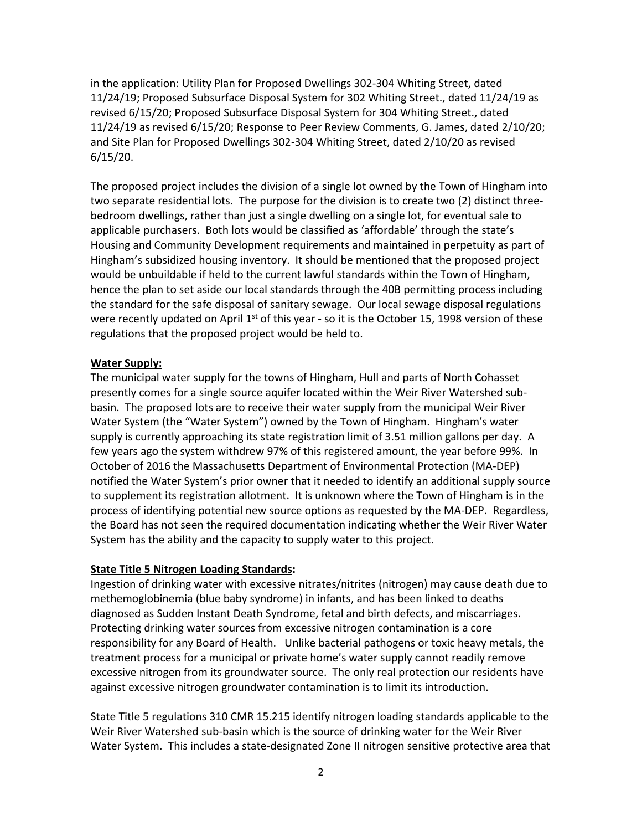in the application: Utility Plan for Proposed Dwellings 302-304 Whiting Street, dated 11/24/19; Proposed Subsurface Disposal System for 302 Whiting Street., dated 11/24/19 as revised 6/15/20; Proposed Subsurface Disposal System for 304 Whiting Street., dated 11/24/19 as revised 6/15/20; Response to Peer Review Comments, G. James, dated 2/10/20; and Site Plan for Proposed Dwellings 302-304 Whiting Street, dated 2/10/20 as revised 6/15/20.

The proposed project includes the division of a single lot owned by the Town of Hingham into two separate residential lots. The purpose for the division is to create two (2) distinct threebedroom dwellings, rather than just a single dwelling on a single lot, for eventual sale to applicable purchasers. Both lots would be classified as 'affordable' through the state's Housing and Community Development requirements and maintained in perpetuity as part of Hingham's subsidized housing inventory. It should be mentioned that the proposed project would be unbuildable if held to the current lawful standards within the Town of Hingham, hence the plan to set aside our local standards through the 40B permitting process including the standard for the safe disposal of sanitary sewage. Our local sewage disposal regulations were recently updated on April  $1<sup>st</sup>$  of this year - so it is the October 15, 1998 version of these regulations that the proposed project would be held to.

## **Water Supply:**

The municipal water supply for the towns of Hingham, Hull and parts of North Cohasset presently comes for a single source aquifer located within the Weir River Watershed subbasin. The proposed lots are to receive their water supply from the municipal Weir River Water System (the "Water System") owned by the Town of Hingham. Hingham's water supply is currently approaching its state registration limit of 3.51 million gallons per day. A few years ago the system withdrew 97% of this registered amount, the year before 99%. In October of 2016 the Massachusetts Department of Environmental Protection (MA-DEP) notified the Water System's prior owner that it needed to identify an additional supply source to supplement its registration allotment. It is unknown where the Town of Hingham is in the process of identifying potential new source options as requested by the MA-DEP. Regardless, the Board has not seen the required documentation indicating whether the Weir River Water System has the ability and the capacity to supply water to this project.

### **State Title 5 Nitrogen Loading Standards:**

Ingestion of drinking water with excessive nitrates/nitrites (nitrogen) may cause death due to methemoglobinemia (blue baby syndrome) in infants, and has been linked to deaths diagnosed as Sudden Instant Death Syndrome, fetal and birth defects, and miscarriages. Protecting drinking water sources from excessive nitrogen contamination is a core responsibility for any Board of Health. Unlike bacterial pathogens or toxic heavy metals, the treatment process for a municipal or private home's water supply cannot readily remove excessive nitrogen from its groundwater source. The only real protection our residents have against excessive nitrogen groundwater contamination is to limit its introduction.

State Title 5 regulations 310 CMR 15.215 identify nitrogen loading standards applicable to the Weir River Watershed sub-basin which is the source of drinking water for the Weir River Water System. This includes a state-designated Zone II nitrogen sensitive protective area that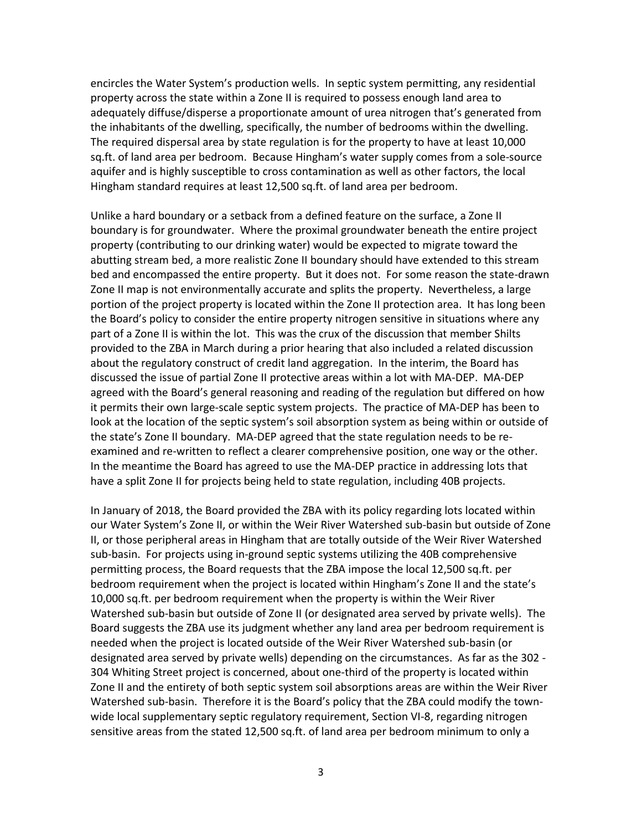encircles the Water System's production wells. In septic system permitting, any residential property across the state within a Zone II is required to possess enough land area to adequately diffuse/disperse a proportionate amount of urea nitrogen that's generated from the inhabitants of the dwelling, specifically, the number of bedrooms within the dwelling. The required dispersal area by state regulation is for the property to have at least 10,000 sq.ft. of land area per bedroom. Because Hingham's water supply comes from a sole-source aquifer and is highly susceptible to cross contamination as well as other factors, the local Hingham standard requires at least 12,500 sq.ft. of land area per bedroom.

Unlike a hard boundary or a setback from a defined feature on the surface, a Zone II boundary is for groundwater. Where the proximal groundwater beneath the entire project property (contributing to our drinking water) would be expected to migrate toward the abutting stream bed, a more realistic Zone II boundary should have extended to this stream bed and encompassed the entire property. But it does not. For some reason the state-drawn Zone II map is not environmentally accurate and splits the property. Nevertheless, a large portion of the project property is located within the Zone II protection area. It has long been the Board's policy to consider the entire property nitrogen sensitive in situations where any part of a Zone II is within the lot. This was the crux of the discussion that member Shilts provided to the ZBA in March during a prior hearing that also included a related discussion about the regulatory construct of credit land aggregation. In the interim, the Board has discussed the issue of partial Zone II protective areas within a lot with MA-DEP. MA-DEP agreed with the Board's general reasoning and reading of the regulation but differed on how it permits their own large-scale septic system projects. The practice of MA-DEP has been to look at the location of the septic system's soil absorption system as being within or outside of the state's Zone II boundary. MA-DEP agreed that the state regulation needs to be reexamined and re-written to reflect a clearer comprehensive position, one way or the other. In the meantime the Board has agreed to use the MA-DEP practice in addressing lots that have a split Zone II for projects being held to state regulation, including 40B projects.

In January of 2018, the Board provided the ZBA with its policy regarding lots located within our Water System's Zone II, or within the Weir River Watershed sub-basin but outside of Zone II, or those peripheral areas in Hingham that are totally outside of the Weir River Watershed sub-basin. For projects using in-ground septic systems utilizing the 40B comprehensive permitting process, the Board requests that the ZBA impose the local 12,500 sq.ft. per bedroom requirement when the project is located within Hingham's Zone II and the state's 10,000 sq.ft. per bedroom requirement when the property is within the Weir River Watershed sub-basin but outside of Zone II (or designated area served by private wells). The Board suggests the ZBA use its judgment whether any land area per bedroom requirement is needed when the project is located outside of the Weir River Watershed sub-basin (or designated area served by private wells) depending on the circumstances. As far as the 302 - 304 Whiting Street project is concerned, about one-third of the property is located within Zone II and the entirety of both septic system soil absorptions areas are within the Weir River Watershed sub-basin. Therefore it is the Board's policy that the ZBA could modify the townwide local supplementary septic regulatory requirement, Section VI-8, regarding nitrogen sensitive areas from the stated 12,500 sq.ft. of land area per bedroom minimum to only a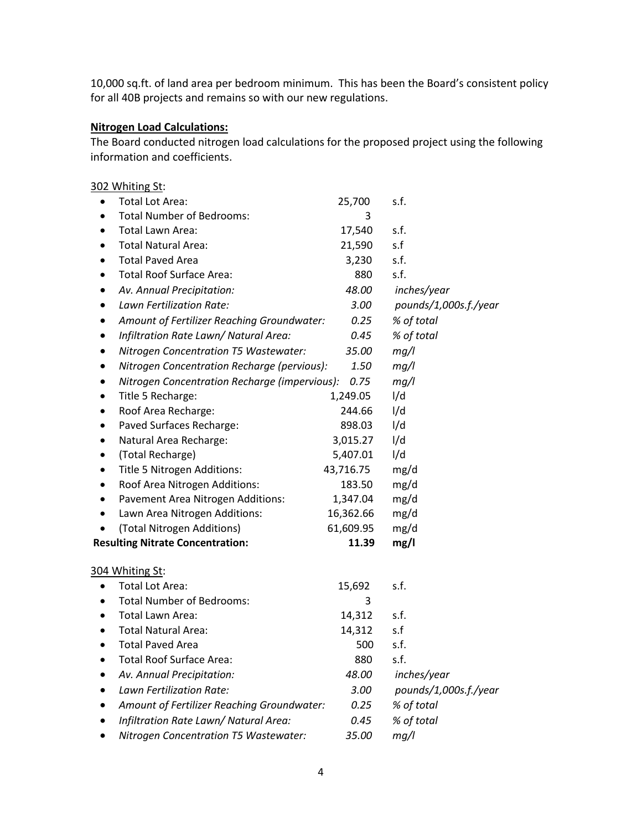10,000 sq.ft. of land area per bedroom minimum. This has been the Board's consistent policy for all 40B projects and remains so with our new regulations.

# **Nitrogen Load Calculations:**

The Board conducted nitrogen load calculations for the proposed project using the following information and coefficients.

| 302 Whiting St:                                            |           |                       |
|------------------------------------------------------------|-----------|-----------------------|
| <b>Total Lot Area:</b><br>$\bullet$                        | 25,700    | s.f.                  |
| <b>Total Number of Bedrooms:</b>                           | 3         |                       |
| Total Lawn Area:                                           | 17,540    | s.f.                  |
| <b>Total Natural Area:</b>                                 | 21,590    | s.f                   |
| <b>Total Paved Area</b>                                    | 3,230     | s.f.                  |
| <b>Total Roof Surface Area:</b>                            | 880       | s.f.                  |
| Av. Annual Precipitation:                                  | 48.00     | inches/year           |
| Lawn Fertilization Rate:                                   | 3.00      | pounds/1,000s.f./year |
| Amount of Fertilizer Reaching Groundwater:                 | 0.25      | % of total            |
| Infiltration Rate Lawn/ Natural Area:                      | 0.45      | % of total            |
| Nitrogen Concentration T5 Wastewater:                      | 35.00     | mg/l                  |
| Nitrogen Concentration Recharge (pervious):                | 1.50      | mg/l                  |
| Nitrogen Concentration Recharge (impervious):<br>$\bullet$ | 0.75      | mg/l                  |
| Title 5 Recharge:                                          | 1,249.05  | I/d                   |
| Roof Area Recharge:                                        | 244.66    | I/d                   |
| Paved Surfaces Recharge:                                   | 898.03    | I/d                   |
| Natural Area Recharge:                                     | 3,015.27  | I/d                   |
| (Total Recharge)                                           | 5,407.01  | I/d                   |
| Title 5 Nitrogen Additions:                                | 43,716.75 | mg/d                  |
| Roof Area Nitrogen Additions:<br>٠                         | 183.50    | mg/d                  |
| Pavement Area Nitrogen Additions:                          | 1,347.04  | mg/d                  |
| Lawn Area Nitrogen Additions:                              | 16,362.66 | mg/d                  |
| (Total Nitrogen Additions)                                 | 61,609.95 | mg/d                  |
| <b>Resulting Nitrate Concentration:</b>                    | 11.39     | mg/l                  |
| 304 Whiting St:                                            |           |                       |
| <b>Total Lot Area:</b>                                     | 15,692    | s.f.                  |
| <b>Total Number of Bedrooms:</b>                           | 3         |                       |
| Total Lawn Area:<br>$\bullet$                              | 14,312    | s.f.                  |
| <b>Total Natural Area:</b>                                 | 14,312    | s.f                   |
| <b>Total Paved Area</b>                                    | 500       | s.f.                  |
| <b>Total Roof Surface Area:</b>                            | 880       | s.f.                  |
| Av. Annual Precipitation:                                  | 48.00     | inches/year           |
| Lawn Fertilization Rate:                                   | 3.00      | pounds/1,000s.f./year |
| Amount of Fertilizer Reaching Groundwater:                 | 0.25      | % of total            |
| Infiltration Rate Lawn/ Natural Area:                      | 0.45      | % of total            |
| Nitrogen Concentration T5 Wastewater:                      | 35.00     | mg/l                  |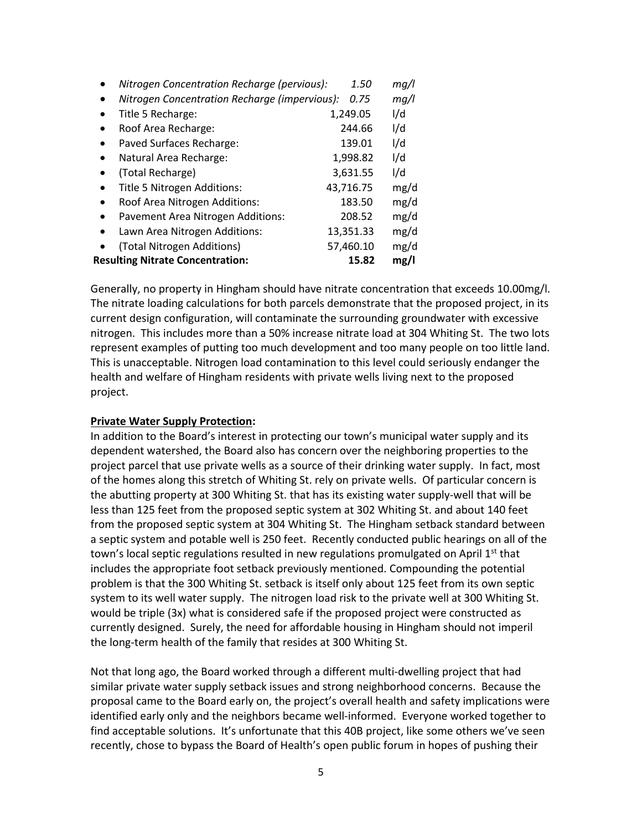| <b>Resulting Nitrate Concentration:</b>       | 15.82     | mg/l |
|-----------------------------------------------|-----------|------|
| (Total Nitrogen Additions)                    | 57,460.10 | mg/d |
| Lawn Area Nitrogen Additions:                 | 13,351.33 | mg/d |
| Pavement Area Nitrogen Additions:             | 208.52    | mg/d |
| Roof Area Nitrogen Additions:<br>$\bullet$    | 183.50    | mg/d |
| Title 5 Nitrogen Additions:                   | 43,716.75 | mg/d |
| (Total Recharge)                              | 3,631.55  | I/d  |
| Natural Area Recharge:                        | 1,998.82  | I/d  |
| Paved Surfaces Recharge:                      | 139.01    | I/d  |
| Roof Area Recharge:                           | 244.66    | I/d  |
| Title 5 Recharge:                             | 1,249.05  | I/d  |
| Nitrogen Concentration Recharge (impervious): | 0.75      | mq/l |
| Nitrogen Concentration Recharge (pervious):   | 1.50      | mq/l |

Generally, no property in Hingham should have nitrate concentration that exceeds 10.00mg/l. The nitrate loading calculations for both parcels demonstrate that the proposed project, in its current design configuration, will contaminate the surrounding groundwater with excessive nitrogen. This includes more than a 50% increase nitrate load at 304 Whiting St. The two lots represent examples of putting too much development and too many people on too little land. This is unacceptable. Nitrogen load contamination to this level could seriously endanger the health and welfare of Hingham residents with private wells living next to the proposed project.

### **Private Water Supply Protection:**

In addition to the Board's interest in protecting our town's municipal water supply and its dependent watershed, the Board also has concern over the neighboring properties to the project parcel that use private wells as a source of their drinking water supply. In fact, most of the homes along this stretch of Whiting St. rely on private wells. Of particular concern is the abutting property at 300 Whiting St. that has its existing water supply-well that will be less than 125 feet from the proposed septic system at 302 Whiting St. and about 140 feet from the proposed septic system at 304 Whiting St. The Hingham setback standard between a septic system and potable well is 250 feet. Recently conducted public hearings on all of the town's local septic regulations resulted in new regulations promulgated on April 1<sup>st</sup> that includes the appropriate foot setback previously mentioned. Compounding the potential problem is that the 300 Whiting St. setback is itself only about 125 feet from its own septic system to its well water supply. The nitrogen load risk to the private well at 300 Whiting St. would be triple (3x) what is considered safe if the proposed project were constructed as currently designed. Surely, the need for affordable housing in Hingham should not imperil the long-term health of the family that resides at 300 Whiting St.

Not that long ago, the Board worked through a different multi-dwelling project that had similar private water supply setback issues and strong neighborhood concerns. Because the proposal came to the Board early on, the project's overall health and safety implications were identified early only and the neighbors became well-informed. Everyone worked together to find acceptable solutions. It's unfortunate that this 40B project, like some others we've seen recently, chose to bypass the Board of Health's open public forum in hopes of pushing their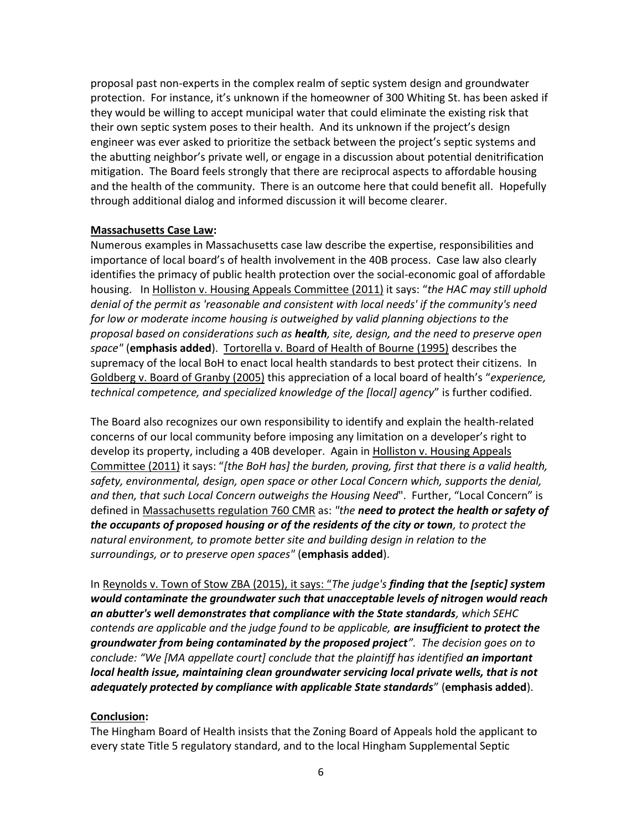proposal past non-experts in the complex realm of septic system design and groundwater protection. For instance, it's unknown if the homeowner of 300 Whiting St. has been asked if they would be willing to accept municipal water that could eliminate the existing risk that their own septic system poses to their health. And its unknown if the project's design engineer was ever asked to prioritize the setback between the project's septic systems and the abutting neighbor's private well, or engage in a discussion about potential denitrification mitigation. The Board feels strongly that there are reciprocal aspects to affordable housing and the health of the community. There is an outcome here that could benefit all. Hopefully through additional dialog and informed discussion it will become clearer.

## **Massachusetts Case Law:**

Numerous examples in Massachusetts case law describe the expertise, responsibilities and importance of local board's of health involvement in the 40B process. Case law also clearly identifies the primacy of public health protection over the social-economic goal of affordable housing. In Holliston v. Housing Appeals Committee (2011) it says: "*the HAC may still uphold denial of the permit as 'reasonable and consistent with local needs' if the community's need for low or moderate income housing is outweighed by valid planning objections to the proposal based on considerations such as health, site, design, and the need to preserve open space"* (**emphasis added**). Tortorella v. Board of Health of Bourne (1995) describes the supremacy of the local BoH to enact local health standards to best protect their citizens. In Goldberg v. Board of Granby (2005) this appreciation of a local board of health's "*experience, technical competence, and specialized knowledge of the [local] agency*" is further codified.

The Board also recognizes our own responsibility to identify and explain the health-related concerns of our local community before imposing any limitation on a developer's right to develop its property, including a 40B developer. Again in Holliston v. Housing Appeals Committee (2011) it says: "*[the BoH has] the burden, proving, first that there is a valid health, safety, environmental, design, open space or other Local Concern which, supports the denial, and then, that such Local Concern outweighs the Housing Need*". Further, "Local Concern" is defined in Massachusetts regulation 760 CMR as: *"the need to protect the health or safety of the occupants of proposed housing or of the residents of the city or town, to protect the natural environment, to promote better site and building design in relation to the surroundings, or to preserve open spaces"* (**emphasis added**).

In Reynolds v. Town of Stow ZBA (2015), it says: "*The judge's finding that the [septic] system would contaminate the groundwater such that unacceptable levels of nitrogen would reach an abutter's well demonstrates that compliance with the State standards, which SEHC contends are applicable and the judge found to be applicable, are insufficient to protect the groundwater from being contaminated by the proposed project". The decision goes on to conclude: "We [MA appellate court] conclude that the plaintiff has identified an important local health issue, maintaining clean groundwater servicing local private wells, that is not adequately protected by compliance with applicable State standards*" (**emphasis added**).

### **Conclusion:**

The Hingham Board of Health insists that the Zoning Board of Appeals hold the applicant to every state Title 5 regulatory standard, and to the local Hingham Supplemental Septic